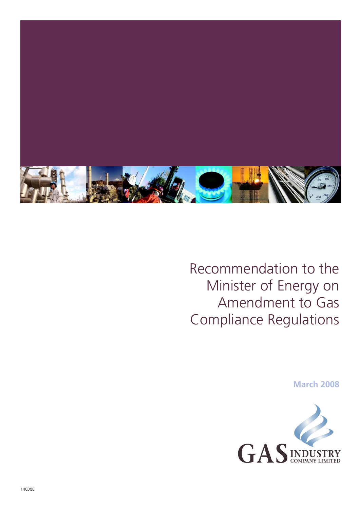

Recommendation to the Minister of Energy on Amendment to Gas Compliance Regulations

**March 2008**

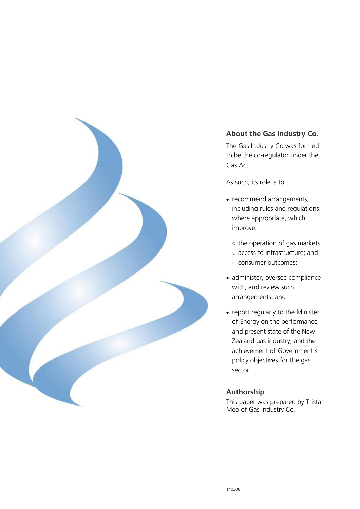

#### **About the Gas Industry Co.**

The Gas Industry Co was formed to be the co-regulator under the Gas Act.

As such, its role is to:

- recommend arrangements, including rules and regulations where appropriate, which improve:
	- the operation of gas markets;
	- access to infrastructure; and
	- consumer outcomes;
- administer, oversee compliance with, and review such arrangements; and
- report regularly to the Minister of Energy on the performance and present state of the New Zealand gas industry, and the achievement of Government's policy objectives for the gas sector.

#### **Authorship**

This paper was prepared by Tristan Meo of Gas Industry Co.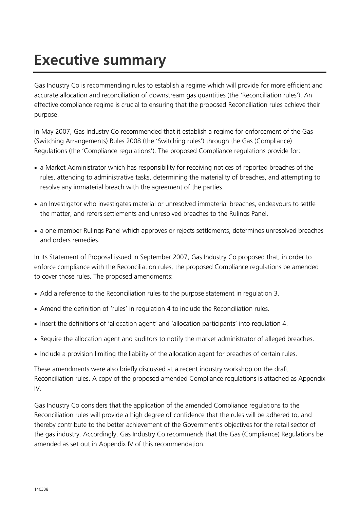# **Executive summary**

Gas Industry Co is recommending rules to establish a regime which will provide for more efficient and accurate allocation and reconciliation of downstream gas quantities (the 'Reconciliation rules'). An effective compliance regime is crucial to ensuring that the proposed Reconciliation rules achieve their purpose.

In May 2007, Gas Industry Co recommended that it establish a regime for enforcement of the Gas (Switching Arrangements) Rules 2008 (the 'Switching rules') through the Gas (Compliance) Regulations (the 'Compliance regulations'). The proposed Compliance regulations provide for:

- a Market Administrator which has responsibility for receiving notices of reported breaches of the rules, attending to administrative tasks, determining the materiality of breaches, and attempting to resolve any immaterial breach with the agreement of the parties.
- an Investigator who investigates material or unresolved immaterial breaches, endeavours to settle the matter, and refers settlements and unresolved breaches to the Rulings Panel.
- a one member Rulings Panel which approves or rejects settlements, determines unresolved breaches and orders remedies.

In its Statement of Proposal issued in September 2007, Gas Industry Co proposed that, in order to enforce compliance with the Reconciliation rules, the proposed Compliance regulations be amended to cover those rules. The proposed amendments:

- Add a reference to the Reconciliation rules to the purpose statement in regulation 3.
- Amend the definition of 'rules' in regulation 4 to include the Reconciliation rules.
- Insert the definitions of 'allocation agent' and 'allocation participants' into regulation 4.
- Require the allocation agent and auditors to notify the market administrator of alleged breaches.
- Include a provision limiting the liability of the allocation agent for breaches of certain rules.

These amendments were also briefly discussed at a recent industry workshop on the draft Reconciliation rules. A copy of the proposed amended Compliance regulations is attached as Appendix IV.

Gas Industry Co considers that the application of the amended Compliance regulations to the Reconciliation rules will provide a high degree of confidence that the rules will be adhered to, and thereby contribute to the better achievement of the Government's objectives for the retail sector of the gas industry. Accordingly, Gas Industry Co recommends that the Gas (Compliance) Regulations be amended as set out in Appendix IV of this recommendation.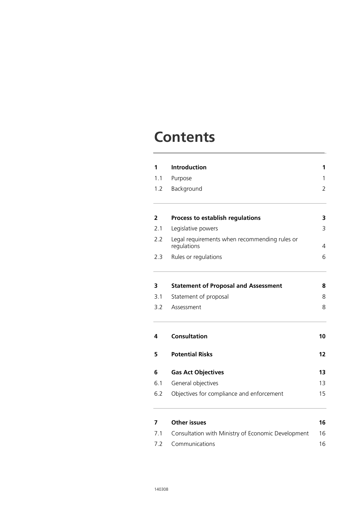### **Contents**

| 1<br>1.1<br>1.2 | <b>Introduction</b><br>Purpose<br>Background                 | 1<br>1<br>$\overline{2}$ |     |                                  |   |
|-----------------|--------------------------------------------------------------|--------------------------|-----|----------------------------------|---|
|                 |                                                              |                          | 2   | Process to establish regulations | 3 |
|                 |                                                              |                          | 2.1 | Legislative powers               | 3 |
| 2.2             | Legal requirements when recommending rules or<br>regulations | 4                        |     |                                  |   |
| 2.3             | Rules or regulations                                         | 6                        |     |                                  |   |
| 3               | <b>Statement of Proposal and Assessment</b>                  | 8                        |     |                                  |   |
| 3.1             | Statement of proposal                                        | 8                        |     |                                  |   |
| 3.2             | Assessment                                                   | 8                        |     |                                  |   |
| 4               | <b>Consultation</b>                                          | 10                       |     |                                  |   |
| 5               | <b>Potential Risks</b>                                       | 12                       |     |                                  |   |
| 6               | <b>Gas Act Objectives</b>                                    | 13                       |     |                                  |   |
| 6.1             | General objectives                                           | 13                       |     |                                  |   |
| 6.2             | Objectives for compliance and enforcement                    | 15                       |     |                                  |   |
| 7               | <b>Other issues</b>                                          | 16                       |     |                                  |   |
| 7.1             | Consultation with Ministry of Economic Development           | 16                       |     |                                  |   |
| 7.2             | Communications                                               | 16                       |     |                                  |   |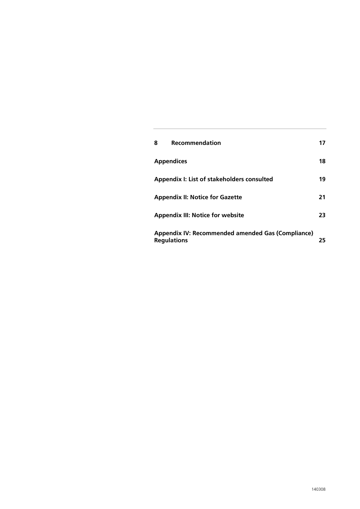| 8                                                                       | Recommendation                             |    |
|-------------------------------------------------------------------------|--------------------------------------------|----|
| <b>Appendices</b>                                                       |                                            | 18 |
|                                                                         | Appendix I: List of stakeholders consulted | 19 |
|                                                                         | <b>Appendix II: Notice for Gazette</b>     | 21 |
|                                                                         | <b>Appendix III: Notice for website</b>    | 23 |
| Appendix IV: Recommended amended Gas (Compliance)<br><b>Regulations</b> |                                            | 25 |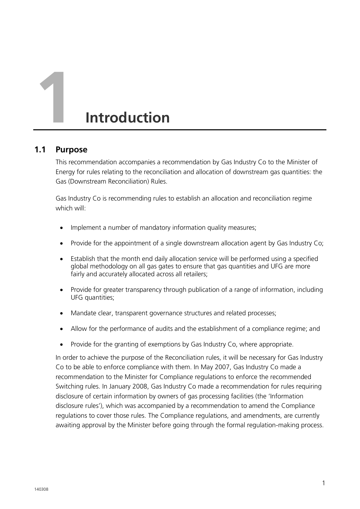# **1 Introduction**

#### **1.1 Purpose**

This recommendation accompanies a recommendation by Gas Industry Co to the Minister of Energy for rules relating to the reconciliation and allocation of downstream gas quantities: the Gas (Downstream Reconciliation) Rules.

Gas Industry Co is recommending rules to establish an allocation and reconciliation regime which will:

- Implement a number of mandatory information quality measures;
- Provide for the appointment of a single downstream allocation agent by Gas Industry Co;
- Establish that the month end daily allocation service will be performed using a specified global methodology on all gas gates to ensure that gas quantities and UFG are more fairly and accurately allocated across all retailers;
- Provide for greater transparency through publication of a range of information, including UFG quantities;
- Mandate clear, transparent governance structures and related processes;
- Allow for the performance of audits and the establishment of a compliance regime; and
- Provide for the granting of exemptions by Gas Industry Co, where appropriate.

In order to achieve the purpose of the Reconciliation rules, it will be necessary for Gas Industry Co to be able to enforce compliance with them. In May 2007, Gas Industry Co made a recommendation to the Minister for Compliance regulations to enforce the recommended Switching rules. In January 2008, Gas Industry Co made a recommendation for rules requiring disclosure of certain information by owners of gas processing facilities (the 'Information disclosure rules'), which was accompanied by a recommendation to amend the Compliance regulations to cover those rules. The Compliance regulations, and amendments, are currently awaiting approval by the Minister before going through the formal regulation-making process.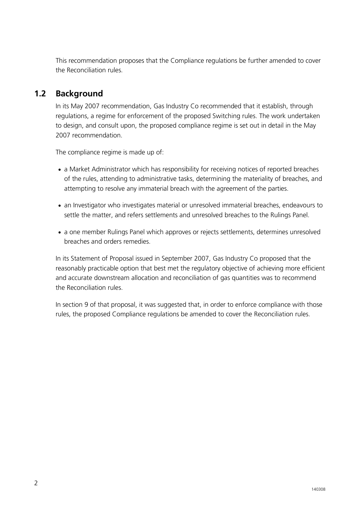This recommendation proposes that the Compliance regulations be further amended to cover the Reconciliation rules.

#### <span id="page-9-0"></span>**1.2 Background**

In its May 2007 recommendation, Gas Industry Co recommended that it establish, through regulations, a regime for enforcement of the proposed Switching rules. The work undertaken to design, and consult upon, the proposed compliance regime is set out in detail in the May 2007 recommendation.

The compliance regime is made up of:

- a Market Administrator which has responsibility for receiving notices of reported breaches of the rules, attending to administrative tasks, determining the materiality of breaches, and attempting to resolve any immaterial breach with the agreement of the parties.
- an Investigator who investigates material or unresolved immaterial breaches, endeavours to settle the matter, and refers settlements and unresolved breaches to the Rulings Panel.
- a one member Rulings Panel which approves or rejects settlements, determines unresolved breaches and orders remedies.

In its Statement of Proposal issued in September 2007, Gas Industry Co proposed that the reasonably practicable option that best met the regulatory objective of achieving more efficient and accurate downstream allocation and reconciliation of gas quantities was to recommend the Reconciliation rules.

In section 9 of that proposal, it was suggested that, in order to enforce compliance with those rules, the proposed Compliance regulations be amended to cover the Reconciliation rules.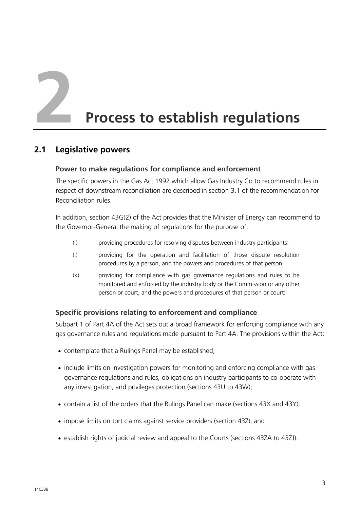**2 Process to establish regulations**

#### **2.1 Legislative powers**

#### **Power to make regulations for compliance and enforcement**

The specific powers in the Gas Act 1992 which allow Gas Industry Co to recommend rules in respect of downstream reconciliation are described in section 3.1 of the recommendation for Reconciliation rules.

In addition, section 43G(2) of the Act provides that the Minister of Energy can recommend to the Governor-General the making of regulations for the purpose of:

- (i) providing procedures for resolving disputes between industry participants:
- (j) providing for the operation and facilitation of those dispute resolution procedures by a person, and the powers and procedures of that person:
- (k) providing for compliance with gas governance regulations and rules to be monitored and enforced by the industry body or the Commission or any other person or court, and the powers and procedures of that person or court:

#### **Specific provisions relating to enforcement and compliance**

Subpart 1 of Part 4A of the Act sets out a broad framework for enforcing compliance with any gas governance rules and regulations made pursuant to Part 4A. The provisions within the Act:

- contemplate that a Rulings Panel may be established;
- include limits on investigation powers for monitoring and enforcing compliance with gas governance regulations and rules, obligations on industry participants to co-operate with any investigation, and privileges protection (sections 43U to 43W);
- contain a list of the orders that the Rulings Panel can make (sections 43X and 43Y);
- impose limits on tort claims against service providers (section 43Z); and
- establish rights of judicial review and appeal to the Courts (sections 43ZA to 43ZJ).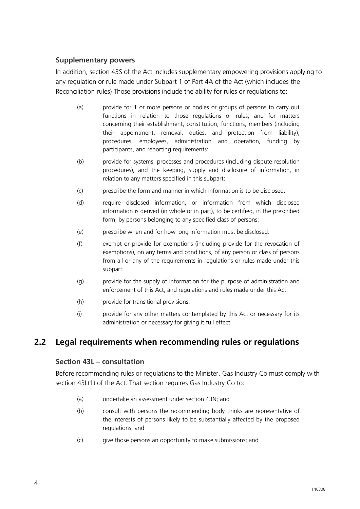#### **Supplementary powers**

In addition, section 43S of the Act includes supplementary empowering provisions applying to any regulation or rule made under Subpart 1 of Part 4A of the Act (which includes the Reconciliation rules) Those provisions include the ability for rules or regulations to:

- (a) provide for 1 or more persons or bodies or groups of persons to carry out functions in relation to those regulations or rules, and for matters concerning their establishment, constitution, functions, members (including their appointment, removal, duties, and protection from liability), procedures, employees, administration and operation, funding by participants, and reporting requirements:
- (b) provide for systems, processes and procedures (including dispute resolution procedures), and the keeping, supply and disclosure of information, in relation to any matters specified in this subpart:
- (c) prescribe the form and manner in which information is to be disclosed:
- (d) require disclosed information, or information from which disclosed information is derived (in whole or in part), to be certified, in the prescribed form, by persons belonging to any specified class of persons:
- (e) prescribe when and for how long information must be disclosed:
- (f) exempt or provide for exemptions (including provide for the revocation of exemptions), on any terms and conditions, of any person or class of persons from all or any of the requirements in regulations or rules made under this subpart:
- (g) provide for the supply of information for the purpose of administration and enforcement of this Act, and regulations and rules made under this Act:
- (h) provide for transitional provisions:
- (i) provide for any other matters contemplated by this Act or necessary for its administration or necessary for giving it full effect.

#### **2.2 Legal requirements when recommending rules or regulations**

#### **Section 43L – consultation**

Before recommending rules or regulations to the Minister, Gas Industry Co must comply with section 43L(1) of the Act. That section requires Gas Industry Co to:

- (a) undertake an assessment under section 43N; and
- (b) consult with persons the recommending body thinks are representative of the interests of persons likely to be substantially affected by the proposed regulations; and
- (c) give those persons an opportunity to make submissions; and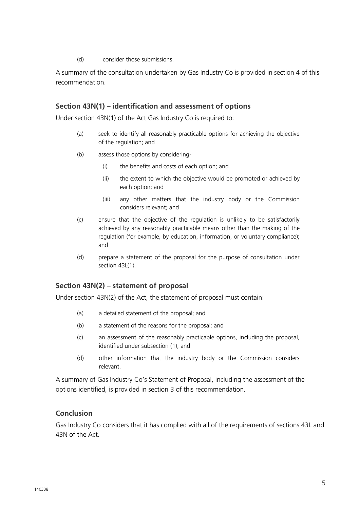(d) consider those submissions.

A summary of the consultation undertaken by Gas Industry Co is provided in section 4 of this recommendation.

#### **Section 43N(1) – identification and assessment of options**

Under section 43N(1) of the Act Gas Industry Co is required to:

- (a) seek to identify all reasonably practicable options for achieving the objective of the regulation; and
- (b) assess those options by considering-
	- (i) the benefits and costs of each option; and
	- (ii) the extent to which the objective would be promoted or achieved by each option; and
	- (iii) any other matters that the industry body or the Commission considers relevant; and
- (c) ensure that the objective of the regulation is unlikely to be satisfactorily achieved by any reasonably practicable means other than the making of the regulation (for example, by education, information, or voluntary compliance); and
- (d) prepare a statement of the proposal for the purpose of consultation under section 43L(1).

#### **Section 43N(2) – statement of proposal**

Under section 43N(2) of the Act, the statement of proposal must contain:

- (a) a detailed statement of the proposal; and
- (b) a statement of the reasons for the proposal; and
- (c) an assessment of the reasonably practicable options, including the proposal, identified under subsection (1); and
- (d) other information that the industry body or the Commission considers relevant.

A summary of Gas Industry Co's Statement of Proposal, including the assessment of the options identified, is provided in section 3 of this recommendation.

#### **Conclusion**

Gas Industry Co considers that it has complied with all of the requirements of sections 43L and 43N of the Act.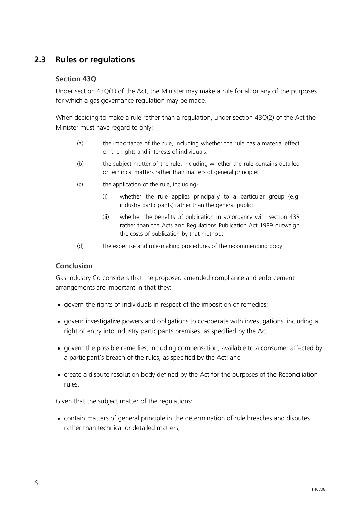#### **2.3 Rules or regulations**

#### **Section 43Q**

Under section 43Q(1) of the Act, the Minister may make a rule for all or any of the purposes for which a gas governance regulation may be made.

When deciding to make a rule rather than a regulation, under section 43Q(2) of the Act the Minister must have regard to only:

- (a) the importance of the rule, including whether the rule has a material effect on the rights and interests of individuals:
- (b) the subject matter of the rule, including whether the rule contains detailed or technical matters rather than matters of general principle:
- (c) the application of the rule, including-
	- (i) whether the rule applies principally to a particular group (e.g. industry participants) rather than the general public:
	- (ii) whether the benefits of publication in accordance with section 43R rather than the Acts and Regulations Publication Act 1989 outweigh the costs of publication by that method:
- (d) the expertise and rule-making procedures of the recommending body.

#### **Conclusion**

Gas Industry Co considers that the proposed amended compliance and enforcement arrangements are important in that they:

- govern the rights of individuals in respect of the imposition of remedies;
- govern investigative powers and obligations to co-operate with investigations, including a right of entry into industry participants premises, as specified by the Act;
- govern the possible remedies, including compensation, available to a consumer affected by a participant's breach of the rules, as specified by the Act; and
- create a dispute resolution body defined by the Act for the purposes of the Reconciliation rules.

Given that the subject matter of the regulations:

 contain matters of general principle in the determination of rule breaches and disputes rather than technical or detailed matters;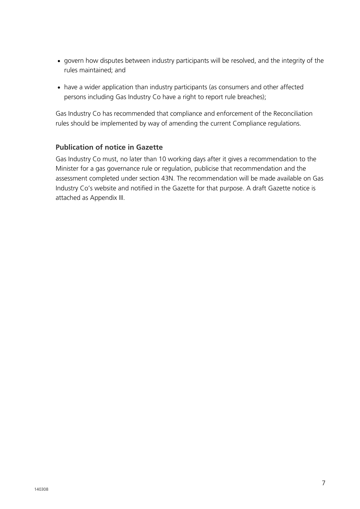- govern how disputes between industry participants will be resolved, and the integrity of the rules maintained; and
- have a wider application than industry participants (as consumers and other affected persons including Gas Industry Co have a right to report rule breaches);

Gas Industry Co has recommended that compliance and enforcement of the Reconciliation rules should be implemented by way of amending the current Compliance regulations.

#### **Publication of notice in Gazette**

Gas Industry Co must, no later than 10 working days after it gives a recommendation to the Minister for a gas governance rule or regulation, publicise that recommendation and the assessment completed under section 43N. The recommendation will be made available on Gas Industry Co's website and notified in the Gazette for that purpose. A draft Gazette notice is attached as Appendix III.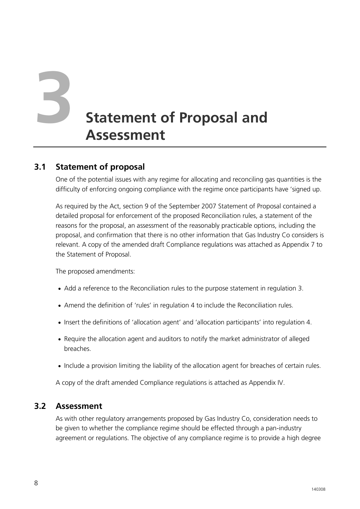# **3 Statement of Proposal and Assessment**

#### **3.1 Statement of proposal**

One of the potential issues with any regime for allocating and reconciling gas quantities is the difficulty of enforcing ongoing compliance with the regime once participants have 'signed up.

As required by the Act, section 9 of the September 2007 Statement of Proposal contained a detailed proposal for enforcement of the proposed Reconciliation rules, a statement of the reasons for the proposal, an assessment of the reasonably practicable options, including the proposal, and confirmation that there is no other information that Gas Industry Co considers is relevant. A copy of the amended draft Compliance regulations was attached as Appendix 7 to the Statement of Proposal.

The proposed amendments:

- Add a reference to the Reconciliation rules to the purpose statement in regulation 3.
- Amend the definition of 'rules' in regulation 4 to include the Reconciliation rules.
- Insert the definitions of 'allocation agent' and 'allocation participants' into regulation 4.
- Require the allocation agent and auditors to notify the market administrator of alleged breaches.
- Include a provision limiting the liability of the allocation agent for breaches of certain rules.

A copy of the draft amended Compliance regulations is attached as Appendix IV.

#### **3.2 Assessment**

As with other regulatory arrangements proposed by Gas Industry Co, consideration needs to be given to whether the compliance regime should be effected through a pan-industry agreement or regulations. The objective of any compliance regime is to provide a high degree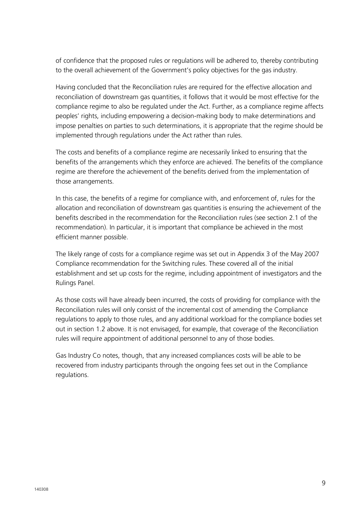of confidence that the proposed rules or regulations will be adhered to, thereby contributing to the overall achievement of the Government's policy objectives for the gas industry.

Having concluded that the Reconciliation rules are required for the effective allocation and reconciliation of downstream gas quantities, it follows that it would be most effective for the compliance regime to also be regulated under the Act. Further, as a compliance regime affects peoples' rights, including empowering a decision-making body to make determinations and impose penalties on parties to such determinations, it is appropriate that the regime should be implemented through regulations under the Act rather than rules.

The costs and benefits of a compliance regime are necessarily linked to ensuring that the benefits of the arrangements which they enforce are achieved. The benefits of the compliance regime are therefore the achievement of the benefits derived from the implementation of those arrangements.

In this case, the benefits of a regime for compliance with, and enforcement of, rules for the allocation and reconciliation of downstream gas quantities is ensuring the achievement of the benefits described in the recommendation for the Reconciliation rules (see section 2.1 of the recommendation). In particular, it is important that compliance be achieved in the most efficient manner possible.

The likely range of costs for a compliance regime was set out in Appendix 3 of the May 2007 Compliance recommendation for the Switching rules. These covered all of the initial establishment and set up costs for the regime, including appointment of investigators and the Rulings Panel.

As those costs will have already been incurred, the costs of providing for compliance with the Reconciliation rules will only consist of the incremental cost of amending the Compliance regulations to apply to those rules, and any additional workload for the compliance bodies set out in section [1.2](#page-9-0) above. It is not envisaged, for example, that coverage of the Reconciliation rules will require appointment of additional personnel to any of those bodies.

Gas Industry Co notes, though, that any increased compliances costs will be able to be recovered from industry participants through the ongoing fees set out in the Compliance regulations.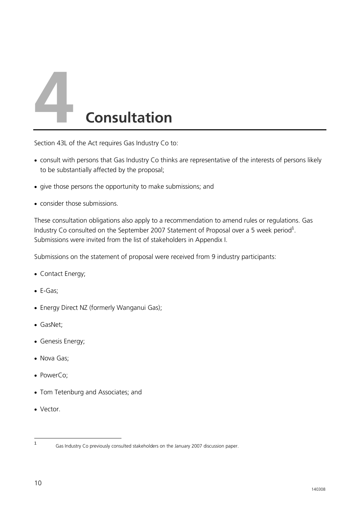

Section 43L of the Act requires Gas Industry Co to:

- consult with persons that Gas Industry Co thinks are representative of the interests of persons likely to be substantially affected by the proposal;
- give those persons the opportunity to make submissions; and
- consider those submissions.

These consultation obligations also apply to a recommendation to amend rules or regulations. Gas Industry Co consulted on the September 2007 Statement of Proposal over a 5 week period<sup>1</sup>. Submissions were invited from the list of stakeholders in Appendix I.

Submissions on the statement of proposal were received from 9 industry participants:

- Contact Energy;
- E-Gas;
- Energy Direct NZ (formerly Wanganui Gas);
- GasNet;
- Genesis Energy;
- Nova Gas:
- PowerCo:
- Tom Tetenburg and Associates; and
- Vector.

 $\frac{1}{1}$ 

Gas Industry Co previously consulted stakeholders on the January 2007 discussion paper.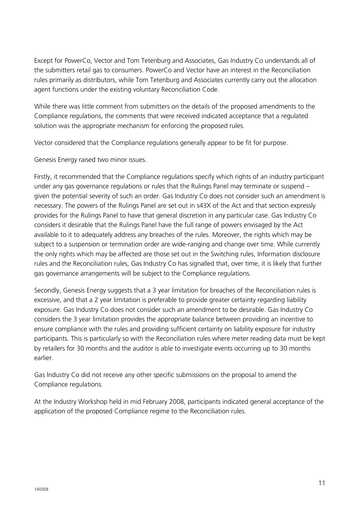Except for PowerCo, Vector and Tom Tetenburg and Associates, Gas Industry Co understands all of the submitters retail gas to consumers. PowerCo and Vector have an interest in the Reconciliation rules primarily as distributors, while Tom Tetenburg and Associates currently carry out the allocation agent functions under the existing voluntary Reconciliation Code.

While there was little comment from submitters on the details of the proposed amendments to the Compliance regulations, the comments that were received indicated acceptance that a regulated solution was the appropriate mechanism for enforcing the proposed rules.

Vector considered that the Compliance regulations generally appear to be fit for purpose.

Genesis Energy raised two minor issues.

Firstly, it recommended that the Compliance regulations specify which rights of an industry participant under any gas governance regulations or rules that the Rulings Panel may terminate or suspend – given the potential severity of such an order. Gas Industry Co does not consider such an amendment is necessary. The powers of the Rulings Panel are set out in s43X of the Act and that section expressly provides for the Rulings Panel to have that general discretion in any particular case. Gas Industry Co considers it desirable that the Rulings Panel have the full range of powers envisaged by the Act available to it to adequately address any breaches of the rules. Moreover, the rights which may be subject to a suspension or termination order are wide-ranging and change over time. While currently the only rights which may be affected are those set out in the Switching rules, Information disclosure rules and the Reconciliation rules, Gas Industry Co has signalled that, over time, it is likely that further gas governance arrangements will be subject to the Compliance regulations.

Secondly, Genesis Energy suggests that a 3 year limitation for breaches of the Reconciliation rules is excessive, and that a 2 year limitation is preferable to provide greater certainty regarding liability exposure. Gas Industry Co does not consider such an amendment to be desirable. Gas Industry Co considers the 3 year limitation provides the appropriate balance between providing an incentive to ensure compliance with the rules and providing sufficient certainty on liability exposure for industry participants. This is particularly so with the Reconciliation rules where meter reading data must be kept by retailers for 30 months and the auditor is able to investigate events occurring up to 30 months earlier.

Gas Industry Co did not receive any other specific submissions on the proposal to amend the Compliance regulations.

At the Industry Workshop held in mid February 2008, participants indicated general acceptance of the application of the proposed Compliance regime to the Reconciliation rules.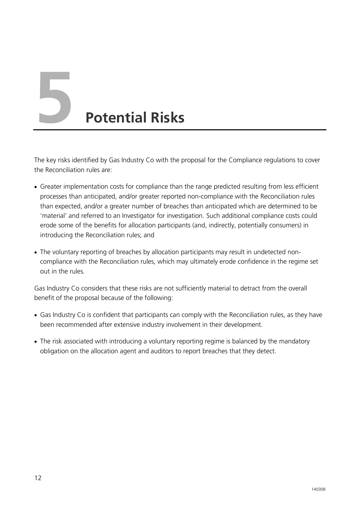**5 Potential Risks**

The key risks identified by Gas Industry Co with the proposal for the Compliance regulations to cover the Reconciliation rules are:

- Greater implementation costs for compliance than the range predicted resulting from less efficient processes than anticipated, and/or greater reported non-compliance with the Reconciliation rules than expected, and/or a greater number of breaches than anticipated which are determined to be 'material' and referred to an Investigator for investigation. Such additional compliance costs could erode some of the benefits for allocation participants (and, indirectly, potentially consumers) in introducing the Reconciliation rules; and
- The voluntary reporting of breaches by allocation participants may result in undetected noncompliance with the Reconciliation rules, which may ultimately erode confidence in the regime set out in the rules.

Gas Industry Co considers that these risks are not sufficiently material to detract from the overall benefit of the proposal because of the following:

- Gas Industry Co is confident that participants can comply with the Reconciliation rules, as they have been recommended after extensive industry involvement in their development.
- The risk associated with introducing a voluntary reporting regime is balanced by the mandatory obligation on the allocation agent and auditors to report breaches that they detect.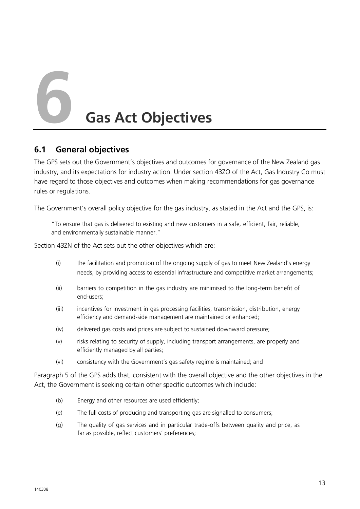**6 Gas Act Objectives**

#### **6.1 General objectives**

The GPS sets out the Government's objectives and outcomes for governance of the New Zealand gas industry, and its expectations for industry action. Under section 43ZO of the Act, Gas Industry Co must have regard to those objectives and outcomes when making recommendations for gas governance rules or regulations.

The Government's overall policy objective for the gas industry, as stated in the Act and the GPS, is:

"To ensure that gas is delivered to existing and new customers in a safe, efficient, fair, reliable, and environmentally sustainable manner."

Section 43ZN of the Act sets out the other objectives which are:

- (i) the facilitation and promotion of the ongoing supply of gas to meet New Zealand's energy needs, by providing access to essential infrastructure and competitive market arrangements;
- (ii) barriers to competition in the gas industry are minimised to the long-term benefit of end-users;
- (iii) incentives for investment in gas processing facilities, transmission, distribution, energy efficiency and demand-side management are maintained or enhanced;
- (iv) delivered gas costs and prices are subject to sustained downward pressure;
- (v) risks relating to security of supply, including transport arrangements, are properly and efficiently managed by all parties;
- (vi) consistency with the Government's gas safety regime is maintained; and

Paragraph 5 of the GPS adds that, consistent with the overall objective and the other objectives in the Act, the Government is seeking certain other specific outcomes which include:

- (b) Energy and other resources are used efficiently;
- (e) The full costs of producing and transporting gas are signalled to consumers;
- (g) The quality of gas services and in particular trade-offs between quality and price, as far as possible, reflect customers' preferences;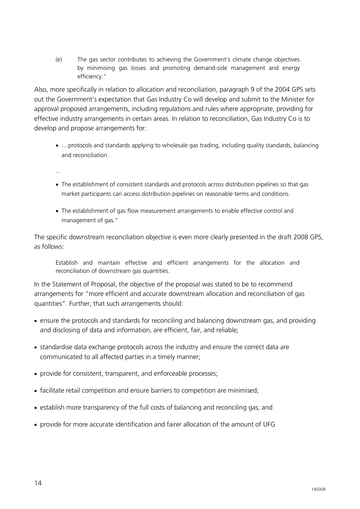(e) The gas sector contributes to achieving the Government's climate change objectives by minimising gas losses and promoting demand-side management and energy efficiency."

Also, more specifically in relation to allocation and reconciliation, paragraph 9 of the 2004 GPS sets out the Government's expectation that Gas Industry Co will develop and submit to the Minister for approval proposed arrangements, including regulations and rules where appropriate, providing for effective industry arrangements in certain areas. In relation to reconciliation, Gas Industry Co is to develop and propose arrangements for:

 …protocols and standards applying to wholesale gas trading, including quality standards, balancing and reconciliation.

...

- The establishment of consistent standards and protocols across distribution pipelines so that gas market participants can access distribution pipelines on reasonable terms and conditions.
- The establishment of gas flow measurement arrangements to enable effective control and management of gas."

The specific downstream reconciliation objective is even more clearly presented in the draft 2008 GPS, as follows:

Establish and maintain effective and efficient arrangements for the allocation and reconciliation of downstream gas quantities.

In the Statement of Proposal, the objective of the proposal was stated to be to recommend arrangements for "more efficient and accurate downstream allocation and reconciliation of gas quantities". Further, that such arrangements should:

- ensure the protocols and standards for reconciling and balancing downstream gas, and providing and disclosing of data and information, are efficient, fair, and reliable;
- standardise data exchange protocols across the industry and ensure the correct data are communicated to all affected parties in a timely manner;
- provide for consistent, transparent, and enforceable processes;
- facilitate retail competition and ensure barriers to competition are minimised;
- establish more transparency of the full costs of balancing and reconciling gas; and
- provide for more accurate identification and fairer allocation of the amount of UFG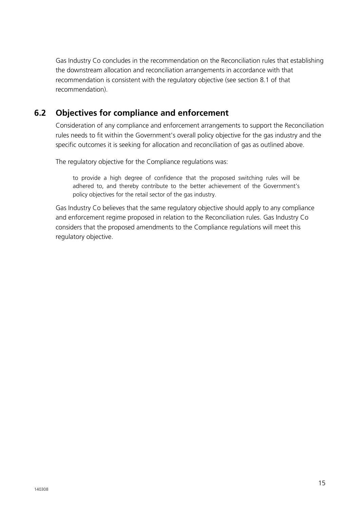Gas Industry Co concludes in the recommendation on the Reconciliation rules that establishing the downstream allocation and reconciliation arrangements in accordance with that recommendation is consistent with the regulatory objective (see section 8.1 of that recommendation).

#### **6.2 Objectives for compliance and enforcement**

Consideration of any compliance and enforcement arrangements to support the Reconciliation rules needs to fit within the Government's overall policy objective for the gas industry and the specific outcomes it is seeking for allocation and reconciliation of gas as outlined above.

The regulatory objective for the Compliance regulations was:

to provide a high degree of confidence that the proposed switching rules will be adhered to, and thereby contribute to the better achievement of the Government's policy objectives for the retail sector of the gas industry.

Gas Industry Co believes that the same regulatory objective should apply to any compliance and enforcement regime proposed in relation to the Reconciliation rules. Gas Industry Co considers that the proposed amendments to the Compliance regulations will meet this regulatory objective.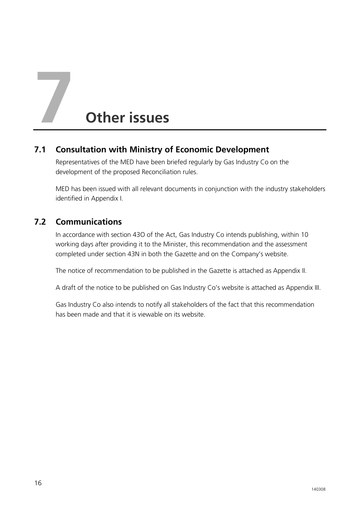# **7 Other issues**

#### **7.1 Consultation with Ministry of Economic Development**

Representatives of the MED have been briefed regularly by Gas Industry Co on the development of the proposed Reconciliation rules.

MED has been issued with all relevant documents in conjunction with the industry stakeholders identified in Appendix I.

#### **7.2 Communications**

In accordance with section 43O of the Act, Gas Industry Co intends publishing, within 10 working days after providing it to the Minister, this recommendation and the assessment completed under section 43N in both the Gazette and on the Company's website.

The notice of recommendation to be published in the Gazette is attached as Appendix II.

A draft of the notice to be published on Gas Industry Co's website is attached as Appendix III.

Gas Industry Co also intends to notify all stakeholders of the fact that this recommendation has been made and that it is viewable on its website.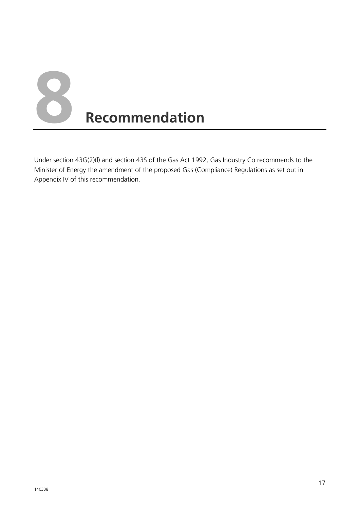

Under section 43G(2)(l) and section 43S of the Gas Act 1992, Gas Industry Co recommends to the Minister of Energy the amendment of the proposed Gas (Compliance) Regulations as set out in Appendix IV of this recommendation.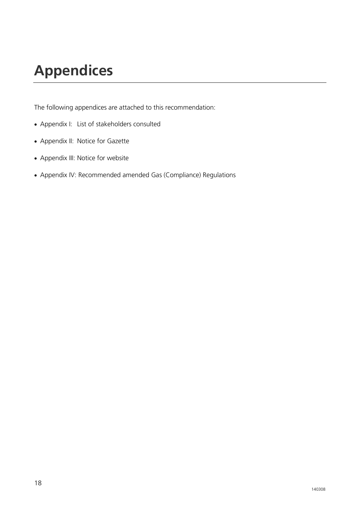# **Appendices**

The following appendices are attached to this recommendation:

- Appendix I: List of stakeholders consulted
- Appendix II: Notice for Gazette
- Appendix III: Notice for website
- Appendix IV: Recommended amended Gas (Compliance) Regulations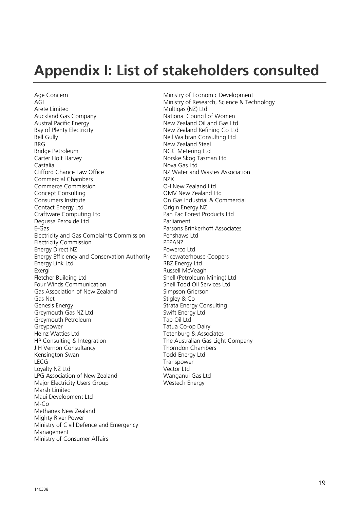# **Appendix I: List of stakeholders consulted**

Age Concern **Age Concern** Ministry of Economic Development<br>AGL Ministry of Research. Science & Tec AGL<br>Arete Limited **Arete Limited** Controller Multique Multique (NZ) Ltd<br>Multiques (NZ) Ltd Arete Limited<br>
Auckland Gas Company<br>
Multigas (NZ) Ltd<br>
National Council Auckland Gas Company **National Council of Women**<br>Austral Pacific Energy **National Council and Gas Ltc** Austral Pacific Energy<br>
Bay of Plenty Electricity<br>
New Zealand Refining Co Ltd<br>
New Zealand Refining Co Ltd Bell Gully Neil Walbran Consulting Ltd<br>BRG New Zealand Steel BRG<br>Bridge Petroleum and Steel Stridge Petroleum<br>
NGC Metering Ltd Bridge Petroleum NGC Metering Ltd<br>
Carter Holt Harvey Norske Skog Tasm Carter Holt Harvey **Norske Skog Tasman Ltd**<br>
Castalia Nova Gas I td Castalia<br>Clifford Chance Law Office<br>
NZ Water and<br>
N2 Water and Commercial Chambers<br>
Commerce Commission<br>
Commerce Commission<br>
Commerce Commission Commerce Commission Concept Consulting Concept Consulting Concept Consulting Consumers Institute On Gas Industrial & Commercial Contact Energy Ltd<br>
Craftware Computing Ltd
Craftware Computing Ltd
Craftware Computing Ltd
Craftware Computing Ltd
Craftware Computing Ltd
Craftware Computing Ltd
Craftware Computing Ltd
Craftware Computing Ltd
Craftware Craftware Computing Ltd Pan Pac Forest Pan Pac Forest Products Pan Pac Forest Products Products Pan Pac Forest P Degussa Peroxide Ltd E-Gas Parsons Brinkerhoff Associates Electricity and Gas Complaints Commission Penshaws Ltd Electricity Commission<br>
Eneray Direct NZ<br>
Powerco Ltd Energy Direct NZ Energy Efficiency and Conservation Authority Pricewaterhouse Coopers<br>Energy Link Ltd Friends RBZ Energy Ltd Energy Link Ltd Exergi Exergi Exergi Exergi Exergi Exergi Exergi Exergi Exergi Exergi Exergi Exergi Exergi Exergi Exergi Exergi<br>
Russell McVeagh<br>
Shell (Petroleum I Four Winds Communication Shell Todd Oil Services Ltd Gas Association of New Zealand Simpson Grierson Gas Net Stigley & Co Genesis Energy **Strata Energy Consulting** Greymouth Gas NZ Ltd Swift Energy Ltd Greymouth Petroleum<br>Greypower Tatua Co-o Heinz Watties Ltd<br>
HP Consulting & Integration<br>
The Australian Gas Ligh J H Vernon Consultancy<br>
Kensington Swan<br>
Todd Energy Ltd Kensington Swan LECG Transpower<br>
I ovalty N7 I td Loyalty NZ Ltd LPG Association of New Zealand Wanganui Gas Ltd Major Electricity Users Group Westech Energy Marsh Limited Maui Development Ltd  $M$ -Co Methanex New Zealand Mighty River Power Ministry of Civil Defence and Emergency Management Ministry of Consumer Affairs

New Zealand Refining Co Ltd NZ Water and Wastes Association<br>NZX Shell (Petroleum Mining) Ltd Tatua Co-op Dairy The Australian Gas Light Company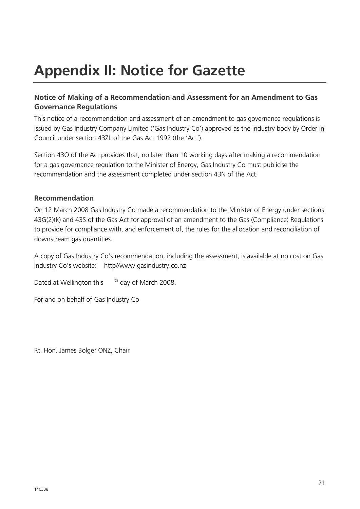# **Appendix II: Notice for Gazette**

#### **Notice of Making of a Recommendation and Assessment for an Amendment to Gas Governance Regulations**

This notice of a recommendation and assessment of an amendment to gas governance regulations is issued by Gas Industry Company Limited ('Gas Industry Co') approved as the industry body by Order in Council under section 43ZL of the Gas Act 1992 (the 'Act').

Section 43O of the Act provides that, no later than 10 working days after making a recommendation for a gas governance regulation to the Minister of Energy, Gas Industry Co must publicise the recommendation and the assessment completed under section 43N of the Act.

#### **Recommendation**

On 12 March 2008 Gas Industry Co made a recommendation to the Minister of Energy under sections 43G(2)(k) and 43S of the Gas Act for approval of an amendment to the Gas (Compliance) Regulations to provide for compliance with, and enforcement of, the rules for the allocation and reconciliation of downstream gas quantities.

A copy of Gas Industry Co's recommendation, including the assessment, is available at no cost on Gas Industry Co's website: http//www.gasindustry.co.nz

Dated at Wellington this th day of March 2008.

For and on behalf of Gas Industry Co

Rt. Hon. James Bolger ONZ, Chair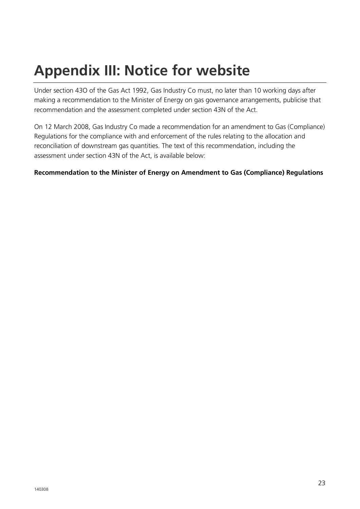# **Appendix III: Notice for website**

Under section 43O of the Gas Act 1992, Gas Industry Co must, no later than 10 working days after making a recommendation to the Minister of Energy on gas governance arrangements, publicise that recommendation and the assessment completed under section 43N of the Act.

On 12 March 2008, Gas Industry Co made a recommendation for an amendment to Gas (Compliance) Regulations for the compliance with and enforcement of the rules relating to the allocation and reconciliation of downstream gas quantities. The text of this recommendation, including the assessment under section 43N of the Act, is available below:

#### **Recommendation to the Minister of Energy on Amendment to Gas (Compliance) Regulations**